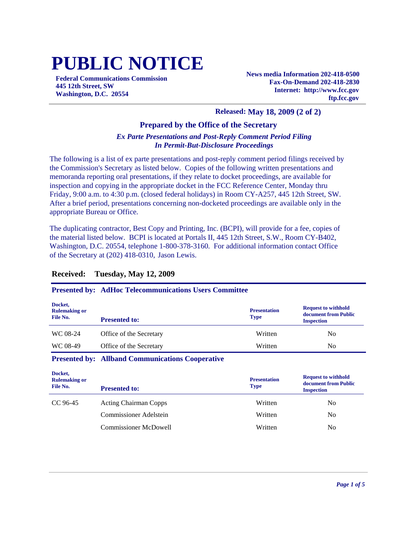# **PUBLIC NOTICE**

**Federal Communications Commission 445 12th Street, SW Washington, D.C. 20554**

**News media Information 202-418-0500 Fax-On-Demand 202-418-2830 Internet: http://www.fcc.gov ftp.fcc.gov**

#### **Released: May 18, 2009 (2 of 2)**

#### **Prepared by the Office of the Secretary**

#### *Ex Parte Presentations and Post-Reply Comment Period Filing In Permit-But-Disclosure Proceedings*

The following is a list of ex parte presentations and post-reply comment period filings received by the Commission's Secretary as listed below. Copies of the following written presentations and memoranda reporting oral presentations, if they relate to docket proceedings, are available for inspection and copying in the appropriate docket in the FCC Reference Center, Monday thru Friday, 9:00 a.m. to 4:30 p.m. (closed federal holidays) in Room CY-A257, 445 12th Street, SW. After a brief period, presentations concerning non-docketed proceedings are available only in the appropriate Bureau or Office.

The duplicating contractor, Best Copy and Printing, Inc. (BCPI), will provide for a fee, copies of the material listed below. BCPI is located at Portals II, 445 12th Street, S.W., Room CY-B402, Washington, D.C. 20554, telephone 1-800-378-3160. For additional information contact Office of the Secretary at (202) 418-0310, Jason Lewis.

## **Received: Tuesday, May 12, 2009**

#### **Presented by: AdHoc Telecommunications Users Committee**

| Docket,<br><b>Rulemaking or</b><br>File No. | <b>Presented to:</b>    | <b>Presentation</b><br><b>Type</b> | <b>Request to withhold</b><br>document from Public<br><b>Inspection</b> |
|---------------------------------------------|-------------------------|------------------------------------|-------------------------------------------------------------------------|
| WC 08-24                                    | Office of the Secretary | Written                            | N <sub>0</sub>                                                          |
| WC 08-49                                    | Office of the Secretary | Written                            | N <sub>0</sub>                                                          |

#### **Presented by: Allband Communications Cooperative**

| Docket,<br><b>Rulemaking or</b><br>File No. | <b>Presented to:</b>          | <b>Presentation</b><br><b>Type</b> | <b>Request to withhold</b><br>document from Public<br><b>Inspection</b> |
|---------------------------------------------|-------------------------------|------------------------------------|-------------------------------------------------------------------------|
| CC 96-45                                    | <b>Acting Chairman Copps</b>  | Written                            | N <sub>0</sub>                                                          |
|                                             | <b>Commissioner Adelstein</b> | Written                            | No                                                                      |
|                                             | <b>Commissioner McDowell</b>  | Written                            | No                                                                      |
|                                             |                               |                                    |                                                                         |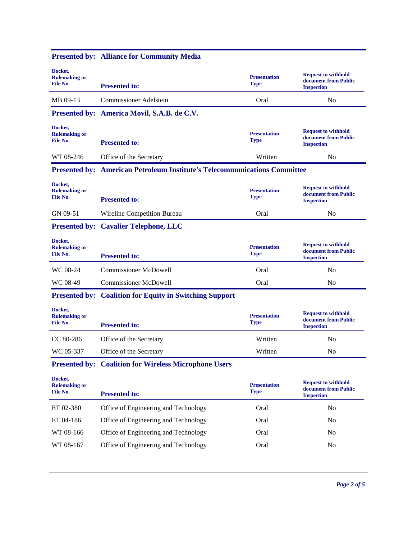|                                             | Tresented by: Annance for Community Media                                        |                                    |                                                                         |
|---------------------------------------------|----------------------------------------------------------------------------------|------------------------------------|-------------------------------------------------------------------------|
| Docket,<br><b>Rulemaking or</b><br>File No. | <b>Presented to:</b>                                                             | <b>Presentation</b><br><b>Type</b> | <b>Request to withhold</b><br>document from Public<br><b>Inspection</b> |
| MB 09-13                                    | <b>Commissioner Adelstein</b>                                                    | Oral                               | N <sub>o</sub>                                                          |
|                                             | Presented by: America Movil, S.A.B. de C.V.                                      |                                    |                                                                         |
| Docket,<br><b>Rulemaking or</b><br>File No. | <b>Presented to:</b>                                                             | <b>Presentation</b><br><b>Type</b> | <b>Request to withhold</b><br>document from Public<br><b>Inspection</b> |
| WT 08-246                                   | Office of the Secretary                                                          | Written                            | No                                                                      |
|                                             | <b>Presented by: American Petroleum Institute's Telecommunications Committee</b> |                                    |                                                                         |
| Docket,<br><b>Rulemaking or</b><br>File No. | <b>Presented to:</b>                                                             | <b>Presentation</b><br><b>Type</b> | <b>Request to withhold</b><br>document from Public<br><b>Inspection</b> |
| GN 09-51                                    | Wireline Competition Bureau                                                      | Oral                               | N <sub>o</sub>                                                          |
|                                             | <b>Presented by: Cavalier Telephone, LLC</b>                                     |                                    |                                                                         |
| Docket,<br><b>Rulemaking or</b><br>File No. | <b>Presented to:</b>                                                             | <b>Presentation</b><br><b>Type</b> | <b>Request to withhold</b><br>document from Public<br><b>Inspection</b> |
| WC 08-24                                    | <b>Commissioner McDowell</b>                                                     | Oral                               | N <sub>o</sub>                                                          |
| WC 08-49                                    | <b>Commissioner McDowell</b>                                                     | Oral                               | N <sub>o</sub>                                                          |
|                                             | <b>Presented by: Coalition for Equity in Switching Support</b>                   |                                    |                                                                         |
| Docket,<br><b>Rulemaking or</b><br>File No. | <b>Presented to:</b>                                                             | <b>Presentation</b><br><b>Type</b> | <b>Request to withhold</b><br>document from Public<br><b>Inspection</b> |
| CC 80-286                                   | Office of the Secretary                                                          | Written                            | No                                                                      |
| WC 05-337                                   | Office of the Secretary                                                          | Written                            | N <sub>o</sub>                                                          |
|                                             | <b>Presented by: Coalition for Wireless Microphone Users</b>                     |                                    |                                                                         |
| Docket,<br><b>Rulemaking or</b><br>File No. | <b>Presented to:</b>                                                             | <b>Presentation</b><br><b>Type</b> | <b>Request to withhold</b><br>document from Public<br><b>Inspection</b> |
| ET 02-380                                   | Office of Engineering and Technology                                             | Oral                               | N <sub>o</sub>                                                          |
| ET 04-186                                   | Office of Engineering and Technology                                             | Oral                               | No                                                                      |
| WT 08-166                                   | Office of Engineering and Technology                                             | Oral                               | No                                                                      |
| WT 08-167                                   | Office of Engineering and Technology                                             | Oral                               | No                                                                      |

#### **Presented by: Alliance for Community Media**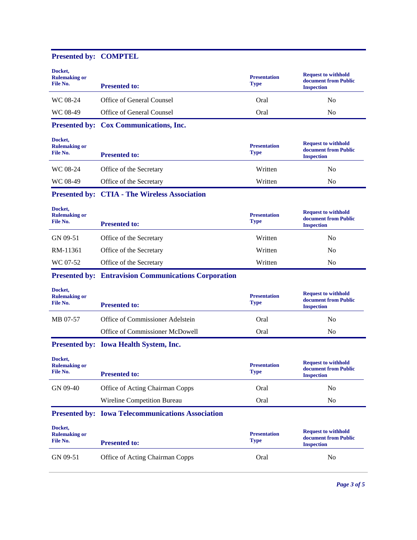### **Presented by: COMPTEL**

| Docket,<br><b>Rulemaking or</b><br>File No. | <b>Presented to:</b>                                        | <b>Presentation</b><br><b>Type</b> | <b>Request to withhold</b><br>document from Public<br><b>Inspection</b> |
|---------------------------------------------|-------------------------------------------------------------|------------------------------------|-------------------------------------------------------------------------|
| WC 08-24                                    | Office of General Counsel                                   | Oral                               | N <sub>0</sub>                                                          |
| WC 08-49                                    | Office of General Counsel                                   | Oral                               | No                                                                      |
|                                             | Presented by: Cox Communications, Inc.                      |                                    |                                                                         |
| Docket,<br><b>Rulemaking or</b><br>File No. | <b>Presented to:</b>                                        | <b>Presentation</b><br><b>Type</b> | <b>Request to withhold</b><br>document from Public<br><b>Inspection</b> |
| WC 08-24                                    | Office of the Secretary                                     | Written                            | No                                                                      |
| WC 08-49                                    | Office of the Secretary                                     | Written                            | N <sub>0</sub>                                                          |
|                                             | <b>Presented by: CTIA - The Wireless Association</b>        |                                    |                                                                         |
| Docket,<br><b>Rulemaking or</b><br>File No. | <b>Presented to:</b>                                        | <b>Presentation</b><br><b>Type</b> | <b>Request to withhold</b><br>document from Public<br><b>Inspection</b> |
| GN 09-51                                    | Office of the Secretary                                     | Written                            | N <sub>o</sub>                                                          |
| RM-11361                                    | Office of the Secretary                                     | Written                            | No                                                                      |
| WC 07-52                                    | Office of the Secretary                                     | Written                            | N <sub>0</sub>                                                          |
|                                             | <b>Presented by: Entravision Communications Corporation</b> |                                    |                                                                         |
| Docket,<br><b>Rulemaking or</b><br>File No. | <b>Presented to:</b>                                        | <b>Presentation</b><br><b>Type</b> | <b>Request to withhold</b><br>document from Public<br><b>Inspection</b> |
| MB 07-57                                    | Office of Commissioner Adelstein                            | Oral                               | N <sub>0</sub>                                                          |
|                                             | Office of Commissioner McDowell                             | Oral                               | No                                                                      |
|                                             | Presented by: Iowa Health System, Inc.                      |                                    |                                                                         |
| Docket,<br><b>Rulemaking or</b><br>File No. | <b>Presented to:</b>                                        | <b>Presentation</b><br><b>Type</b> | <b>Request to withhold</b><br>document from Public<br><b>Inspection</b> |
| GN 09-40                                    | Office of Acting Chairman Copps                             | Oral                               | N <sub>0</sub>                                                          |
|                                             | Wireline Competition Bureau                                 | Oral                               | No                                                                      |
|                                             | <b>Presented by: Iowa Telecommunications Association</b>    |                                    |                                                                         |
| Docket,<br><b>Rulemaking or</b><br>File No. | <b>Presented to:</b>                                        | <b>Presentation</b><br><b>Type</b> | <b>Request to withhold</b><br>document from Public<br><b>Inspection</b> |
| GN 09-51                                    | Office of Acting Chairman Copps                             | Oral                               | No                                                                      |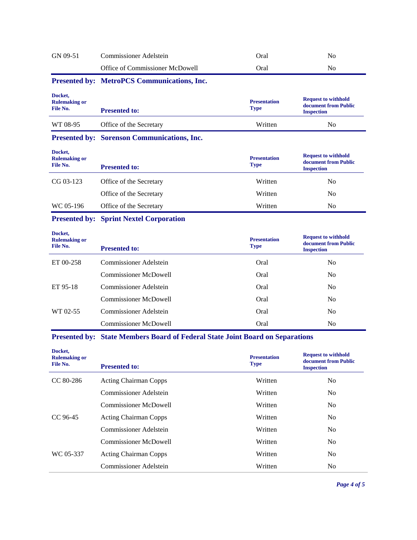#### GN 09-51 Commissioner Adelstein Oral Oral No Office of Commissioner McDowell **Oral** Oral No **Presented by: MetroPCS Communications, Inc. Docket, Rulemaking or File No. Presentation Type Request to withhold document from Public Presented to:** WT 08-95 Office of the Secretary Written No **Presented by: Sorenson Communications, Inc. Docket,**

| поскет,<br><b>Rulemaking or</b><br>File No. | <b>Presented to:</b>    | <b>Presentation</b><br><b>Type</b> | <b>Request to withhold</b><br>document from Public<br><b>Inspection</b> |
|---------------------------------------------|-------------------------|------------------------------------|-------------------------------------------------------------------------|
| CG 03-123                                   | Office of the Secretary | Written                            | No                                                                      |
|                                             | Office of the Secretary | Written                            | No                                                                      |
| WC 05-196                                   | Office of the Secretary | Written                            | No                                                                      |

#### **Presented by: Sprint Nextel Corporation**

| Docket,<br><b>Rulemaking or</b><br>File No. | <b>Presented to:</b>          | <b>Presentation</b><br><b>Type</b> | <b>Request to withhold</b><br>document from Public<br><b>Inspection</b> |
|---------------------------------------------|-------------------------------|------------------------------------|-------------------------------------------------------------------------|
| ET 00-258                                   | Commissioner Adelstein        | Oral                               | No                                                                      |
|                                             | <b>Commissioner McDowell</b>  | Oral                               | N <sub>0</sub>                                                          |
| ET 95-18                                    | Commissioner Adelstein        | Oral                               | N <sub>0</sub>                                                          |
|                                             | <b>Commissioner McDowell</b>  | Oral                               | No                                                                      |
| WT 02-55                                    | <b>Commissioner Adelstein</b> | Oral                               | N <sub>0</sub>                                                          |
|                                             | <b>Commissioner McDowell</b>  | Oral                               | No                                                                      |

#### **Presented by: State Members Board of Federal State Joint Board on Separations**

| Docket,<br><b>Rulemaking or</b><br>File No. | <b>Presented to:</b>          | <b>Presentation</b><br><b>Type</b> | <b>Request to withhold</b><br>document from Public<br><b>Inspection</b> |
|---------------------------------------------|-------------------------------|------------------------------------|-------------------------------------------------------------------------|
| $CC 80-286$                                 | <b>Acting Chairman Copps</b>  | Written                            | N <sub>0</sub>                                                          |
|                                             | <b>Commissioner Adelstein</b> | Written                            | N <sub>0</sub>                                                          |
|                                             | <b>Commissioner McDowell</b>  | Written                            | N <sub>0</sub>                                                          |
| CC 96-45                                    | <b>Acting Chairman Copps</b>  | Written                            | No.                                                                     |
|                                             | Commissioner Adelstein        | Written                            | N <sub>0</sub>                                                          |
|                                             | <b>Commissioner McDowell</b>  | Written                            | N <sub>0</sub>                                                          |
| WC 05-337                                   | <b>Acting Chairman Copps</b>  | Written                            | N <sub>0</sub>                                                          |
|                                             | Commissioner Adelstein        | Written                            | N <sub>0</sub>                                                          |